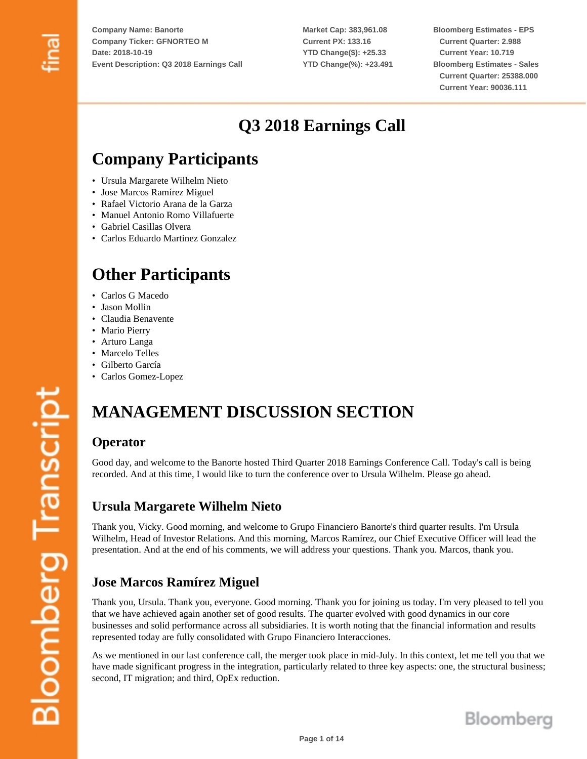**Market Cap: 383,961.08 Current PX: 133.16 YTD Change(\$): +25.33 YTD Change(%): +23.491**

**Bloomberg Estimates - EPS Current Quarter: 2.988 Current Year: 10.719 Bloomberg Estimates - Sales Current Quarter: 25388.000 Current Year: 90036.111**

# **Q3 2018 Earnings Call**

# **Company Participants**

- Ursula Margarete Wilhelm Nieto
- Jose Marcos Ramírez Miguel
- Rafael Victorio Arana de la Garza
- Manuel Antonio Romo Villafuerte
- Gabriel Casillas Olvera
- Carlos Eduardo Martinez Gonzalez

# **Other Participants**

- Carlos G Macedo
- Jason Mollin
- Claudia Benavente
- Mario Pierry
- Arturo Langa
- Marcelo Telles
- Gilberto García
- Carlos Gomez-Lopez

# **MANAGEMENT DISCUSSION SECTION**

## **Operator**

Good day, and welcome to the Banorte hosted Third Quarter 2018 Earnings Conference Call. Today's call is being recorded. And at this time, I would like to turn the conference over to Ursula Wilhelm. Please go ahead.

## **Ursula Margarete Wilhelm Nieto**

Thank you, Vicky. Good morning, and welcome to Grupo Financiero Banorte's third quarter results. I'm Ursula Wilhelm, Head of Investor Relations. And this morning, Marcos Ramírez, our Chief Executive Officer will lead the presentation. And at the end of his comments, we will address your questions. Thank you. Marcos, thank you.

## **Jose Marcos Ramírez Miguel**

Thank you, Ursula. Thank you, everyone. Good morning. Thank you for joining us today. I'm very pleased to tell you that we have achieved again another set of good results. The quarter evolved with good dynamics in our core businesses and solid performance across all subsidiaries. It is worth noting that the financial information and results represented today are fully consolidated with Grupo Financiero Interacciones.

As we mentioned in our last conference call, the merger took place in mid-July. In this context, let me tell you that we have made significant progress in the integration, particularly related to three key aspects: one, the structural business; second, IT migration; and third, OpEx reduction.

**Bloomberg Transcript**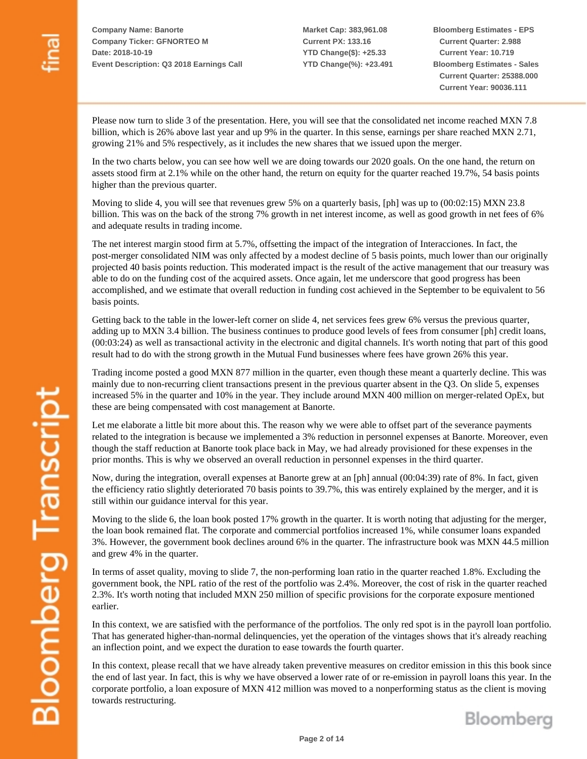**Market Cap: 383,961.08 Current PX: 133.16 YTD Change(\$): +25.33 YTD Change(%): +23.491** **Bloomberg Estimates - EPS Current Quarter: 2.988 Current Year: 10.719 Bloomberg Estimates - Sales Current Quarter: 25388.000 Current Year: 90036.111**

Please now turn to slide 3 of the presentation. Here, you will see that the consolidated net income reached MXN 7.8 billion, which is 26% above last year and up 9% in the quarter. In this sense, earnings per share reached MXN 2.71, growing 21% and 5% respectively, as it includes the new shares that we issued upon the merger.

In the two charts below, you can see how well we are doing towards our 2020 goals. On the one hand, the return on assets stood firm at 2.1% while on the other hand, the return on equity for the quarter reached 19.7%, 54 basis points higher than the previous quarter.

Moving to slide 4, you will see that revenues grew 5% on a quarterly basis, [ph] was up to (00:02:15) MXN 23.8 billion. This was on the back of the strong 7% growth in net interest income, as well as good growth in net fees of 6% and adequate results in trading income.

The net interest margin stood firm at 5.7%, offsetting the impact of the integration of Interacciones. In fact, the post-merger consolidated NIM was only affected by a modest decline of 5 basis points, much lower than our originally projected 40 basis points reduction. This moderated impact is the result of the active management that our treasury was able to do on the funding cost of the acquired assets. Once again, let me underscore that good progress has been accomplished, and we estimate that overall reduction in funding cost achieved in the September to be equivalent to 56 basis points.

Getting back to the table in the lower-left corner on slide 4, net services fees grew 6% versus the previous quarter, adding up to MXN 3.4 billion. The business continues to produce good levels of fees from consumer [ph] credit loans, (00:03:24) as well as transactional activity in the electronic and digital channels. It's worth noting that part of this good result had to do with the strong growth in the Mutual Fund businesses where fees have grown 26% this year.

Trading income posted a good MXN 877 million in the quarter, even though these meant a quarterly decline. This was mainly due to non-recurring client transactions present in the previous quarter absent in the Q3. On slide 5, expenses increased 5% in the quarter and 10% in the year. They include around MXN 400 million on merger-related OpEx, but these are being compensated with cost management at Banorte.

Let me elaborate a little bit more about this. The reason why we were able to offset part of the severance payments related to the integration is because we implemented a 3% reduction in personnel expenses at Banorte. Moreover, even though the staff reduction at Banorte took place back in May, we had already provisioned for these expenses in the prior months. This is why we observed an overall reduction in personnel expenses in the third quarter.

Now, during the integration, overall expenses at Banorte grew at an [ph] annual (00:04:39) rate of 8%. In fact, given the efficiency ratio slightly deteriorated 70 basis points to 39.7%, this was entirely explained by the merger, and it is still within our guidance interval for this year.

Moving to the slide 6, the loan book posted 17% growth in the quarter. It is worth noting that adjusting for the merger, the loan book remained flat. The corporate and commercial portfolios increased 1%, while consumer loans expanded 3%. However, the government book declines around 6% in the quarter. The infrastructure book was MXN 44.5 million and grew 4% in the quarter.

In terms of asset quality, moving to slide 7, the non-performing loan ratio in the quarter reached 1.8%. Excluding the government book, the NPL ratio of the rest of the portfolio was 2.4%. Moreover, the cost of risk in the quarter reached 2.3%. It's worth noting that included MXN 250 million of specific provisions for the corporate exposure mentioned earlier.

In this context, we are satisfied with the performance of the portfolios. The only red spot is in the payroll loan portfolio. That has generated higher-than-normal delinquencies, yet the operation of the vintages shows that it's already reaching an inflection point, and we expect the duration to ease towards the fourth quarter.

In this context, please recall that we have already taken preventive measures on creditor emission in this this book since the end of last year. In fact, this is why we have observed a lower rate of or re-emission in payroll loans this year. In the corporate portfolio, a loan exposure of MXN 412 million was moved to a nonperforming status as the client is moving towards restructuring.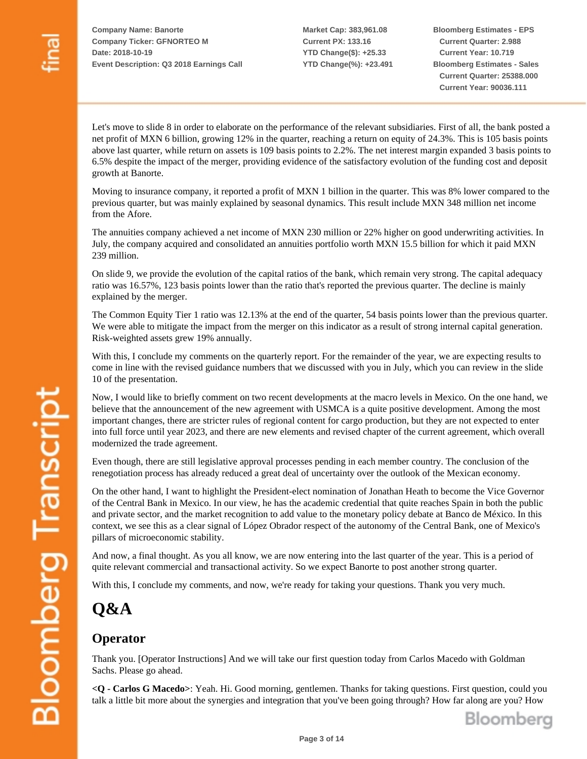**Market Cap: 383,961.08 Current PX: 133.16 YTD Change(\$): +25.33 YTD Change(%): +23.491** **Bloomberg Estimates - EPS Current Quarter: 2.988 Current Year: 10.719 Bloomberg Estimates - Sales Current Quarter: 25388.000 Current Year: 90036.111**

Let's move to slide 8 in order to elaborate on the performance of the relevant subsidiaries. First of all, the bank posted a net profit of MXN 6 billion, growing 12% in the quarter, reaching a return on equity of 24.3%. This is 105 basis points above last quarter, while return on assets is 109 basis points to 2.2%. The net interest margin expanded 3 basis points to 6.5% despite the impact of the merger, providing evidence of the satisfactory evolution of the funding cost and deposit growth at Banorte.

Moving to insurance company, it reported a profit of MXN 1 billion in the quarter. This was 8% lower compared to the previous quarter, but was mainly explained by seasonal dynamics. This result include MXN 348 million net income from the Afore.

The annuities company achieved a net income of MXN 230 million or 22% higher on good underwriting activities. In July, the company acquired and consolidated an annuities portfolio worth MXN 15.5 billion for which it paid MXN 239 million.

On slide 9, we provide the evolution of the capital ratios of the bank, which remain very strong. The capital adequacy ratio was 16.57%, 123 basis points lower than the ratio that's reported the previous quarter. The decline is mainly explained by the merger.

The Common Equity Tier 1 ratio was 12.13% at the end of the quarter, 54 basis points lower than the previous quarter. We were able to mitigate the impact from the merger on this indicator as a result of strong internal capital generation. Risk-weighted assets grew 19% annually.

With this, I conclude my comments on the quarterly report. For the remainder of the year, we are expecting results to come in line with the revised guidance numbers that we discussed with you in July, which you can review in the slide 10 of the presentation.

Now, I would like to briefly comment on two recent developments at the macro levels in Mexico. On the one hand, we believe that the announcement of the new agreement with USMCA is a quite positive development. Among the most important changes, there are stricter rules of regional content for cargo production, but they are not expected to enter into full force until year 2023, and there are new elements and revised chapter of the current agreement, which overall modernized the trade agreement.

Even though, there are still legislative approval processes pending in each member country. The conclusion of the renegotiation process has already reduced a great deal of uncertainty over the outlook of the Mexican economy.

On the other hand, I want to highlight the President-elect nomination of Jonathan Heath to become the Vice Governor of the Central Bank in Mexico. In our view, he has the academic credential that quite reaches Spain in both the public and private sector, and the market recognition to add value to the monetary policy debate at Banco de México. In this context, we see this as a clear signal of López Obrador respect of the autonomy of the Central Bank, one of Mexico's pillars of microeconomic stability.

And now, a final thought. As you all know, we are now entering into the last quarter of the year. This is a period of quite relevant commercial and transactional activity. So we expect Banorte to post another strong quarter.

With this, I conclude my comments, and now, we're ready for taking your questions. Thank you very much.

# **Q&A**

## **Operator**

Thank you. [Operator Instructions] And we will take our first question today from Carlos Macedo with Goldman Sachs. Please go ahead.

**<Q - Carlos G Macedo>**: Yeah. Hi. Good morning, gentlemen. Thanks for taking questions. First question, could you talk a little bit more about the synergies and integration that you've been going through? How far along are you? How



**Bloomberg Transcript**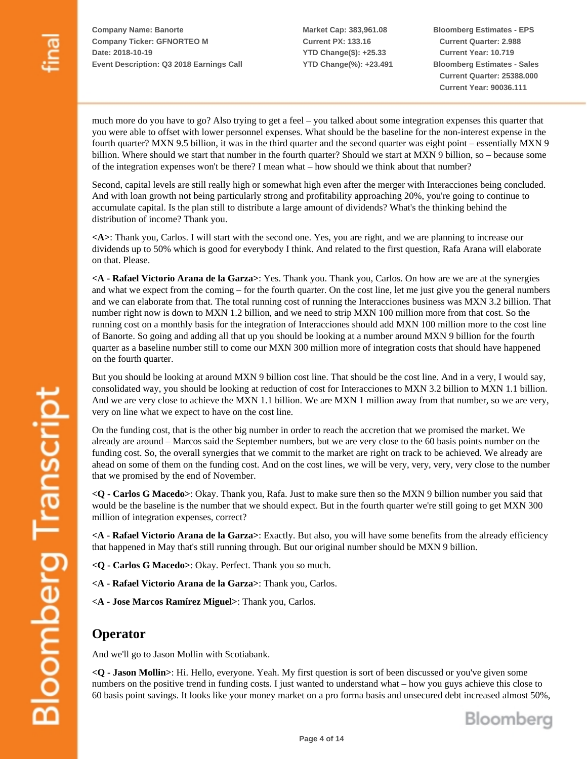**Market Cap: 383,961.08 Current PX: 133.16 YTD Change(\$): +25.33 YTD Change(%): +23.491** **Bloomberg Estimates - EPS Current Quarter: 2.988 Current Year: 10.719 Bloomberg Estimates - Sales Current Quarter: 25388.000 Current Year: 90036.111**

much more do you have to go? Also trying to get a feel – you talked about some integration expenses this quarter that you were able to offset with lower personnel expenses. What should be the baseline for the non-interest expense in the fourth quarter? MXN 9.5 billion, it was in the third quarter and the second quarter was eight point – essentially MXN 9 billion. Where should we start that number in the fourth quarter? Should we start at MXN 9 billion, so – because some of the integration expenses won't be there? I mean what – how should we think about that number?

Second, capital levels are still really high or somewhat high even after the merger with Interacciones being concluded. And with loan growth not being particularly strong and profitability approaching 20%, you're going to continue to accumulate capital. Is the plan still to distribute a large amount of dividends? What's the thinking behind the distribution of income? Thank you.

**<A>**: Thank you, Carlos. I will start with the second one. Yes, you are right, and we are planning to increase our dividends up to 50% which is good for everybody I think. And related to the first question, Rafa Arana will elaborate on that. Please.

**<A - Rafael Victorio Arana de la Garza>**: Yes. Thank you. Thank you, Carlos. On how are we are at the synergies and what we expect from the coming – for the fourth quarter. On the cost line, let me just give you the general numbers and we can elaborate from that. The total running cost of running the Interacciones business was MXN 3.2 billion. That number right now is down to MXN 1.2 billion, and we need to strip MXN 100 million more from that cost. So the running cost on a monthly basis for the integration of Interacciones should add MXN 100 million more to the cost line of Banorte. So going and adding all that up you should be looking at a number around MXN 9 billion for the fourth quarter as a baseline number still to come our MXN 300 million more of integration costs that should have happened on the fourth quarter.

But you should be looking at around MXN 9 billion cost line. That should be the cost line. And in a very, I would say, consolidated way, you should be looking at reduction of cost for Interacciones to MXN 3.2 billion to MXN 1.1 billion. And we are very close to achieve the MXN 1.1 billion. We are MXN 1 million away from that number, so we are very, very on line what we expect to have on the cost line.

On the funding cost, that is the other big number in order to reach the accretion that we promised the market. We already are around – Marcos said the September numbers, but we are very close to the 60 basis points number on the funding cost. So, the overall synergies that we commit to the market are right on track to be achieved. We already are ahead on some of them on the funding cost. And on the cost lines, we will be very, very, very, very close to the number that we promised by the end of November.

**<Q - Carlos G Macedo>**: Okay. Thank you, Rafa. Just to make sure then so the MXN 9 billion number you said that would be the baseline is the number that we should expect. But in the fourth quarter we're still going to get MXN 300 million of integration expenses, correct?

**<A - Rafael Victorio Arana de la Garza>**: Exactly. But also, you will have some benefits from the already efficiency that happened in May that's still running through. But our original number should be MXN 9 billion.

- **<Q Carlos G Macedo>**: Okay. Perfect. Thank you so much.
- **<A Rafael Victorio Arana de la Garza>**: Thank you, Carlos.
- **<A Jose Marcos Ramírez Miguel>**: Thank you, Carlos.

#### **Operator**

And we'll go to Jason Mollin with Scotiabank.

**<Q - Jason Mollin>**: Hi. Hello, everyone. Yeah. My first question is sort of been discussed or you've given some numbers on the positive trend in funding costs. I just wanted to understand what – how you guys achieve this close to 60 basis point savings. It looks like your money market on a pro forma basis and unsecured debt increased almost 50%,

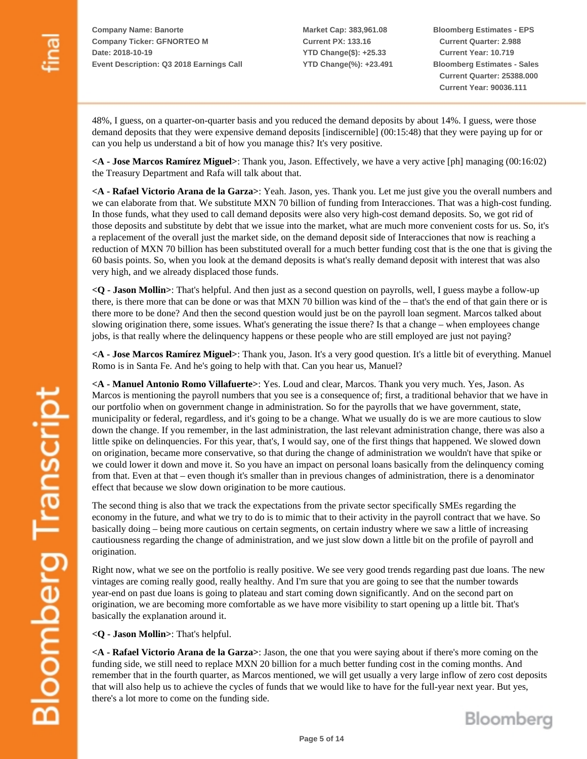**Market Cap: 383,961.08 Current PX: 133.16 YTD Change(\$): +25.33 YTD Change(%): +23.491** **Bloomberg Estimates - EPS Current Quarter: 2.988 Current Year: 10.719 Bloomberg Estimates - Sales Current Quarter: 25388.000 Current Year: 90036.111**

48%, I guess, on a quarter-on-quarter basis and you reduced the demand deposits by about 14%. I guess, were those demand deposits that they were expensive demand deposits [indiscernible] (00:15:48) that they were paying up for or can you help us understand a bit of how you manage this? It's very positive.

**<A - Jose Marcos Ramírez Miguel>**: Thank you, Jason. Effectively, we have a very active [ph] managing (00:16:02) the Treasury Department and Rafa will talk about that.

**<A - Rafael Victorio Arana de la Garza>**: Yeah. Jason, yes. Thank you. Let me just give you the overall numbers and we can elaborate from that. We substitute MXN 70 billion of funding from Interacciones. That was a high-cost funding. In those funds, what they used to call demand deposits were also very high-cost demand deposits. So, we got rid of those deposits and substitute by debt that we issue into the market, what are much more convenient costs for us. So, it's a replacement of the overall just the market side, on the demand deposit side of Interacciones that now is reaching a reduction of MXN 70 billion has been substituted overall for a much better funding cost that is the one that is giving the 60 basis points. So, when you look at the demand deposits is what's really demand deposit with interest that was also very high, and we already displaced those funds.

**<Q - Jason Mollin>**: That's helpful. And then just as a second question on payrolls, well, I guess maybe a follow-up there, is there more that can be done or was that MXN 70 billion was kind of the – that's the end of that gain there or is there more to be done? And then the second question would just be on the payroll loan segment. Marcos talked about slowing origination there, some issues. What's generating the issue there? Is that a change – when employees change jobs, is that really where the delinquency happens or these people who are still employed are just not paying?

**<A - Jose Marcos Ramírez Miguel>**: Thank you, Jason. It's a very good question. It's a little bit of everything. Manuel Romo is in Santa Fe. And he's going to help with that. Can you hear us, Manuel?

**<A - Manuel Antonio Romo Villafuerte>**: Yes. Loud and clear, Marcos. Thank you very much. Yes, Jason. As Marcos is mentioning the payroll numbers that you see is a consequence of; first, a traditional behavior that we have in our portfolio when on government change in administration. So for the payrolls that we have government, state, municipality or federal, regardless, and it's going to be a change. What we usually do is we are more cautious to slow down the change. If you remember, in the last administration, the last relevant administration change, there was also a little spike on delinquencies. For this year, that's, I would say, one of the first things that happened. We slowed down on origination, became more conservative, so that during the change of administration we wouldn't have that spike or we could lower it down and move it. So you have an impact on personal loans basically from the delinquency coming from that. Even at that – even though it's smaller than in previous changes of administration, there is a denominator effect that because we slow down origination to be more cautious.

The second thing is also that we track the expectations from the private sector specifically SMEs regarding the economy in the future, and what we try to do is to mimic that to their activity in the payroll contract that we have. So basically doing – being more cautious on certain segments, on certain industry where we saw a little of increasing cautiousness regarding the change of administration, and we just slow down a little bit on the profile of payroll and origination.

Right now, what we see on the portfolio is really positive. We see very good trends regarding past due loans. The new vintages are coming really good, really healthy. And I'm sure that you are going to see that the number towards year-end on past due loans is going to plateau and start coming down significantly. And on the second part on origination, we are becoming more comfortable as we have more visibility to start opening up a little bit. That's basically the explanation around it.

**<Q - Jason Mollin>**: That's helpful.

**<A - Rafael Victorio Arana de la Garza>**: Jason, the one that you were saying about if there's more coming on the funding side, we still need to replace MXN 20 billion for a much better funding cost in the coming months. And remember that in the fourth quarter, as Marcos mentioned, we will get usually a very large inflow of zero cost deposits that will also help us to achieve the cycles of funds that we would like to have for the full-year next year. But yes, there's a lot more to come on the funding side.

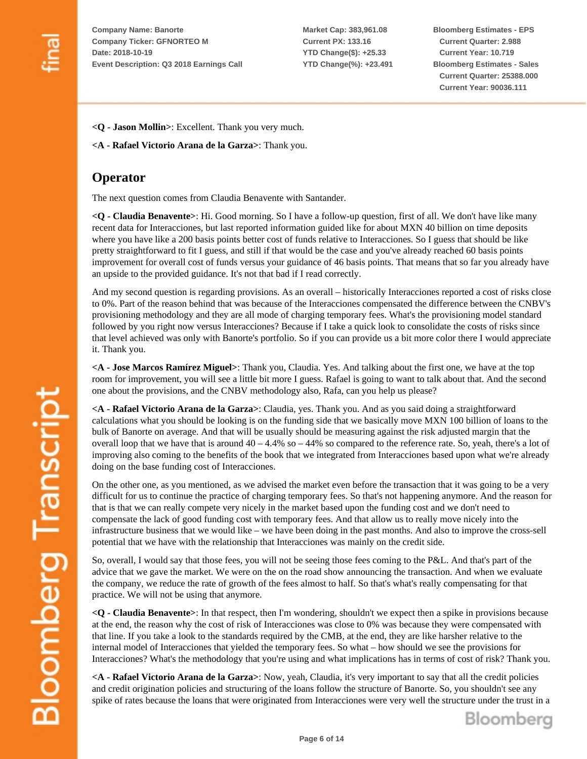**Market Cap: 383,961.08 Current PX: 133.16 YTD Change(\$): +25.33 YTD Change(%): +23.491** **Bloomberg Estimates - EPS Current Quarter: 2.988 Current Year: 10.719 Bloomberg Estimates - Sales Current Quarter: 25388.000 Current Year: 90036.111**

**<Q - Jason Mollin>**: Excellent. Thank you very much.

**<A - Rafael Victorio Arana de la Garza>**: Thank you.

### **Operator**

The next question comes from Claudia Benavente with Santander.

**<Q - Claudia Benavente>**: Hi. Good morning. So I have a follow-up question, first of all. We don't have like many recent data for Interacciones, but last reported information guided like for about MXN 40 billion on time deposits where you have like a 200 basis points better cost of funds relative to Interacciones. So I guess that should be like pretty straightforward to fit I guess, and still if that would be the case and you've already reached 60 basis points improvement for overall cost of funds versus your guidance of 46 basis points. That means that so far you already have an upside to the provided guidance. It's not that bad if I read correctly.

And my second question is regarding provisions. As an overall – historically Interacciones reported a cost of risks close to 0%. Part of the reason behind that was because of the Interacciones compensated the difference between the CNBV's provisioning methodology and they are all mode of charging temporary fees. What's the provisioning model standard followed by you right now versus Interacciones? Because if I take a quick look to consolidate the costs of risks since that level achieved was only with Banorte's portfolio. So if you can provide us a bit more color there I would appreciate it. Thank you.

**<A - Jose Marcos Ramírez Miguel>**: Thank you, Claudia. Yes. And talking about the first one, we have at the top room for improvement, you will see a little bit more I guess. Rafael is going to want to talk about that. And the second one about the provisions, and the CNBV methodology also, Rafa, can you help us please?

**<A - Rafael Victorio Arana de la Garza>**: Claudia, yes. Thank you. And as you said doing a straightforward calculations what you should be looking is on the funding side that we basically move MXN 100 billion of loans to the bulk of Banorte on average. And that will be usually should be measuring against the risk adjusted margin that the overall loop that we have that is around  $40 - 4.4\%$  so  $- 44\%$  so compared to the reference rate. So, yeah, there's a lot of improving also coming to the benefits of the book that we integrated from Interacciones based upon what we're already doing on the base funding cost of Interacciones.

On the other one, as you mentioned, as we advised the market even before the transaction that it was going to be a very difficult for us to continue the practice of charging temporary fees. So that's not happening anymore. And the reason for that is that we can really compete very nicely in the market based upon the funding cost and we don't need to compensate the lack of good funding cost with temporary fees. And that allow us to really move nicely into the infrastructure business that we would like – we have been doing in the past months. And also to improve the cross-sell potential that we have with the relationship that Interacciones was mainly on the credit side.

So, overall, I would say that those fees, you will not be seeing those fees coming to the P&L. And that's part of the advice that we gave the market. We were on the on the road show announcing the transaction. And when we evaluate the company, we reduce the rate of growth of the fees almost to half. So that's what's really compensating for that practice. We will not be using that anymore.

**<Q - Claudia Benavente>**: In that respect, then I'm wondering, shouldn't we expect then a spike in provisions because at the end, the reason why the cost of risk of Interacciones was close to 0% was because they were compensated with that line. If you take a look to the standards required by the CMB, at the end, they are like harsher relative to the internal model of Interacciones that yielded the temporary fees. So what – how should we see the provisions for Interacciones? What's the methodology that you're using and what implications has in terms of cost of risk? Thank you.

**<A - Rafael Victorio Arana de la Garza>**: Now, yeah, Claudia, it's very important to say that all the credit policies and credit origination policies and structuring of the loans follow the structure of Banorte. So, you shouldn't see any spike of rates because the loans that were originated from Interacciones were very well the structure under the trust in a

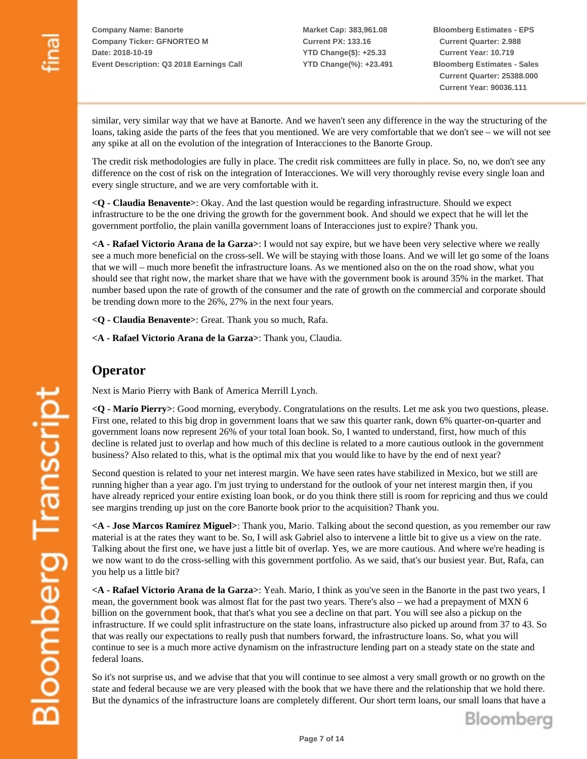**Market Cap: 383,961.08 Current PX: 133.16 YTD Change(\$): +25.33 YTD Change(%): +23.491** **Bloomberg Estimates - EPS Current Quarter: 2.988 Current Year: 10.719 Bloomberg Estimates - Sales Current Quarter: 25388.000 Current Year: 90036.111**

similar, very similar way that we have at Banorte. And we haven't seen any difference in the way the structuring of the loans, taking aside the parts of the fees that you mentioned. We are very comfortable that we don't see – we will not see any spike at all on the evolution of the integration of Interacciones to the Banorte Group.

The credit risk methodologies are fully in place. The credit risk committees are fully in place. So, no, we don't see any difference on the cost of risk on the integration of Interacciones. We will very thoroughly revise every single loan and every single structure, and we are very comfortable with it.

**<Q - Claudia Benavente>**: Okay. And the last question would be regarding infrastructure. Should we expect infrastructure to be the one driving the growth for the government book. And should we expect that he will let the government portfolio, the plain vanilla government loans of Interacciones just to expire? Thank you.

**<A - Rafael Victorio Arana de la Garza>**: I would not say expire, but we have been very selective where we really see a much more beneficial on the cross-sell. We will be staying with those loans. And we will let go some of the loans that we will – much more benefit the infrastructure loans. As we mentioned also on the on the road show, what you should see that right now, the market share that we have with the government book is around 35% in the market. That number based upon the rate of growth of the consumer and the rate of growth on the commercial and corporate should be trending down more to the 26%, 27% in the next four years.

**<Q - Claudia Benavente>**: Great. Thank you so much, Rafa.

**<A - Rafael Victorio Arana de la Garza>**: Thank you, Claudia.

### **Operator**

Next is Mario Pierry with Bank of America Merrill Lynch.

**<Q - Mario Pierry>**: Good morning, everybody. Congratulations on the results. Let me ask you two questions, please. First one, related to this big drop in government loans that we saw this quarter rank, down 6% quarter-on-quarter and government loans now represent 26% of your total loan book. So, I wanted to understand, first, how much of this decline is related just to overlap and how much of this decline is related to a more cautious outlook in the government business? Also related to this, what is the optimal mix that you would like to have by the end of next year?

Second question is related to your net interest margin. We have seen rates have stabilized in Mexico, but we still are running higher than a year ago. I'm just trying to understand for the outlook of your net interest margin then, if you have already repriced your entire existing loan book, or do you think there still is room for repricing and thus we could see margins trending up just on the core Banorte book prior to the acquisition? Thank you.

**<A - Jose Marcos Ramírez Miguel>**: Thank you, Mario. Talking about the second question, as you remember our raw material is at the rates they want to be. So, I will ask Gabriel also to intervene a little bit to give us a view on the rate. Talking about the first one, we have just a little bit of overlap. Yes, we are more cautious. And where we're heading is we now want to do the cross-selling with this government portfolio. As we said, that's our busiest year. But, Rafa, can you help us a little bit?

**<A - Rafael Victorio Arana de la Garza>**: Yeah. Mario, I think as you've seen in the Banorte in the past two years, I mean, the government book was almost flat for the past two years. There's also – we had a prepayment of MXN 6 billion on the government book, that that's what you see a decline on that part. You will see also a pickup on the infrastructure. If we could split infrastructure on the state loans, infrastructure also picked up around from 37 to 43. So that was really our expectations to really push that numbers forward, the infrastructure loans. So, what you will continue to see is a much more active dynamism on the infrastructure lending part on a steady state on the state and federal loans.

So it's not surprise us, and we advise that that you will continue to see almost a very small growth or no growth on the state and federal because we are very pleased with the book that we have there and the relationship that we hold there. But the dynamics of the infrastructure loans are completely different. Our short term loans, our small loans that have a

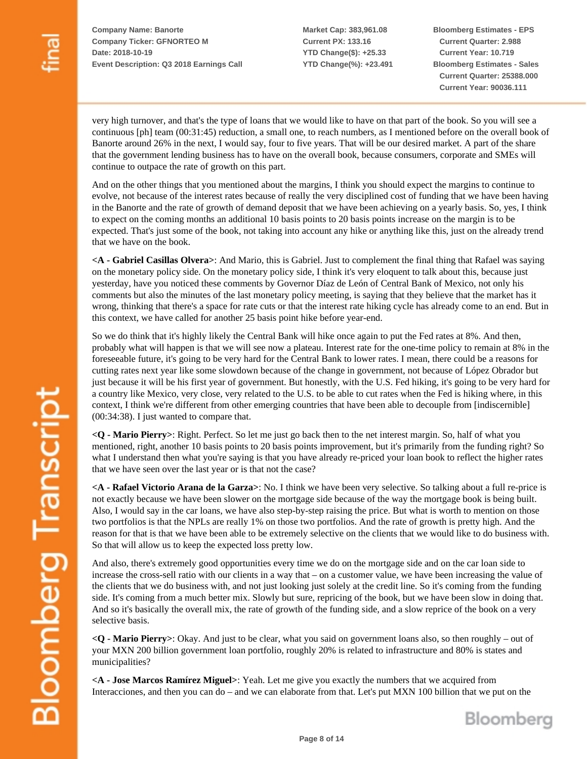**Market Cap: 383,961.08 Current PX: 133.16 YTD Change(\$): +25.33 YTD Change(%): +23.491** **Bloomberg Estimates - EPS Current Quarter: 2.988 Current Year: 10.719 Bloomberg Estimates - Sales Current Quarter: 25388.000 Current Year: 90036.111**

very high turnover, and that's the type of loans that we would like to have on that part of the book. So you will see a continuous [ph] team (00:31:45) reduction, a small one, to reach numbers, as I mentioned before on the overall book of Banorte around 26% in the next, I would say, four to five years. That will be our desired market. A part of the share that the government lending business has to have on the overall book, because consumers, corporate and SMEs will continue to outpace the rate of growth on this part.

And on the other things that you mentioned about the margins, I think you should expect the margins to continue to evolve, not because of the interest rates because of really the very disciplined cost of funding that we have been having in the Banorte and the rate of growth of demand deposit that we have been achieving on a yearly basis. So, yes, I think to expect on the coming months an additional 10 basis points to 20 basis points increase on the margin is to be expected. That's just some of the book, not taking into account any hike or anything like this, just on the already trend that we have on the book.

**<A - Gabriel Casillas Olvera>**: And Mario, this is Gabriel. Just to complement the final thing that Rafael was saying on the monetary policy side. On the monetary policy side, I think it's very eloquent to talk about this, because just yesterday, have you noticed these comments by Governor Díaz de León of Central Bank of Mexico, not only his comments but also the minutes of the last monetary policy meeting, is saying that they believe that the market has it wrong, thinking that there's a space for rate cuts or that the interest rate hiking cycle has already come to an end. But in this context, we have called for another 25 basis point hike before year-end.

So we do think that it's highly likely the Central Bank will hike once again to put the Fed rates at 8%. And then, probably what will happen is that we will see now a plateau. Interest rate for the one-time policy to remain at 8% in the foreseeable future, it's going to be very hard for the Central Bank to lower rates. I mean, there could be a reasons for cutting rates next year like some slowdown because of the change in government, not because of López Obrador but just because it will be his first year of government. But honestly, with the U.S. Fed hiking, it's going to be very hard for a country like Mexico, very close, very related to the U.S. to be able to cut rates when the Fed is hiking where, in this context, I think we're different from other emerging countries that have been able to decouple from [indiscernible] (00:34:38). I just wanted to compare that.

**<Q - Mario Pierry>**: Right. Perfect. So let me just go back then to the net interest margin. So, half of what you mentioned, right, another 10 basis points to 20 basis points improvement, but it's primarily from the funding right? So what I understand then what you're saying is that you have already re-priced your loan book to reflect the higher rates that we have seen over the last year or is that not the case?

**<A - Rafael Victorio Arana de la Garza>**: No. I think we have been very selective. So talking about a full re-price is not exactly because we have been slower on the mortgage side because of the way the mortgage book is being built. Also, I would say in the car loans, we have also step-by-step raising the price. But what is worth to mention on those two portfolios is that the NPLs are really 1% on those two portfolios. And the rate of growth is pretty high. And the reason for that is that we have been able to be extremely selective on the clients that we would like to do business with. So that will allow us to keep the expected loss pretty low.

And also, there's extremely good opportunities every time we do on the mortgage side and on the car loan side to increase the cross-sell ratio with our clients in a way that – on a customer value, we have been increasing the value of the clients that we do business with, and not just looking just solely at the credit line. So it's coming from the funding side. It's coming from a much better mix. Slowly but sure, repricing of the book, but we have been slow in doing that. And so it's basically the overall mix, the rate of growth of the funding side, and a slow reprice of the book on a very selective basis.

**<Q - Mario Pierry>**: Okay. And just to be clear, what you said on government loans also, so then roughly – out of your MXN 200 billion government loan portfolio, roughly 20% is related to infrastructure and 80% is states and municipalities?

**<A - Jose Marcos Ramírez Miguel>**: Yeah. Let me give you exactly the numbers that we acquired from Interacciones, and then you can do – and we can elaborate from that. Let's put MXN 100 billion that we put on the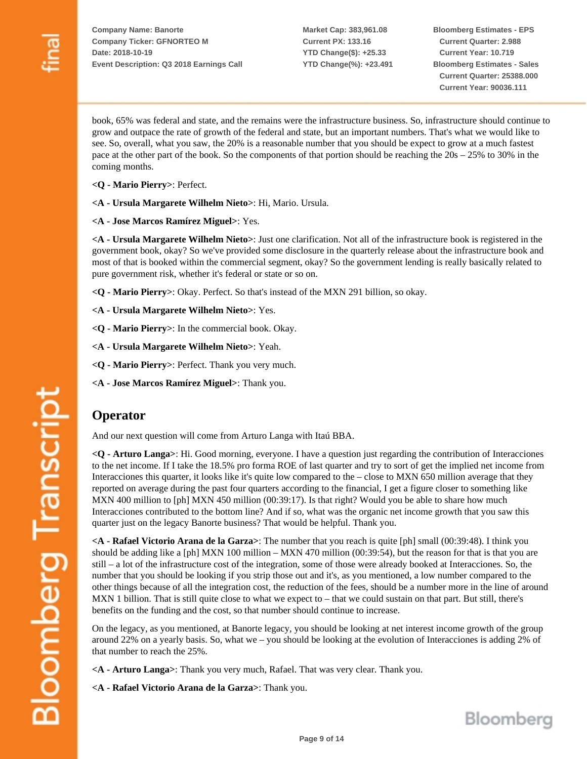**Market Cap: 383,961.08 Current PX: 133.16 YTD Change(\$): +25.33 YTD Change(%): +23.491** **Bloomberg Estimates - EPS Current Quarter: 2.988 Current Year: 10.719 Bloomberg Estimates - Sales Current Quarter: 25388.000 Current Year: 90036.111**

book, 65% was federal and state, and the remains were the infrastructure business. So, infrastructure should continue to grow and outpace the rate of growth of the federal and state, but an important numbers. That's what we would like to see. So, overall, what you saw, the 20% is a reasonable number that you should be expect to grow at a much fastest pace at the other part of the book. So the components of that portion should be reaching the 20s – 25% to 30% in the coming months.

- **<Q Mario Pierry>**: Perfect.
- **<A Ursula Margarete Wilhelm Nieto>**: Hi, Mario. Ursula.
- **<A Jose Marcos Ramírez Miguel>**: Yes.

**<A - Ursula Margarete Wilhelm Nieto>**: Just one clarification. Not all of the infrastructure book is registered in the government book, okay? So we've provided some disclosure in the quarterly release about the infrastructure book and most of that is booked within the commercial segment, okay? So the government lending is really basically related to pure government risk, whether it's federal or state or so on.

**<Q - Mario Pierry>**: Okay. Perfect. So that's instead of the MXN 291 billion, so okay.

- **<A Ursula Margarete Wilhelm Nieto>**: Yes.
- **<Q Mario Pierry>**: In the commercial book. Okay.
- **<A Ursula Margarete Wilhelm Nieto>**: Yeah.
- **<Q Mario Pierry>**: Perfect. Thank you very much.
- **<A Jose Marcos Ramírez Miguel>**: Thank you.

#### **Operator**

And our next question will come from Arturo Langa with Itaú BBA.

**<Q - Arturo Langa>**: Hi. Good morning, everyone. I have a question just regarding the contribution of Interacciones to the net income. If I take the 18.5% pro forma ROE of last quarter and try to sort of get the implied net income from Interacciones this quarter, it looks like it's quite low compared to the – close to MXN 650 million average that they reported on average during the past four quarters according to the financial, I get a figure closer to something like MXN 400 million to [ph] MXN 450 million (00:39:17). Is that right? Would you be able to share how much Interacciones contributed to the bottom line? And if so, what was the organic net income growth that you saw this quarter just on the legacy Banorte business? That would be helpful. Thank you.

**<A - Rafael Victorio Arana de la Garza>**: The number that you reach is quite [ph] small (00:39:48). I think you should be adding like a [ph] MXN 100 million – MXN 470 million  $(00:39:54)$ , but the reason for that is that you are still – a lot of the infrastructure cost of the integration, some of those were already booked at Interacciones. So, the number that you should be looking if you strip those out and it's, as you mentioned, a low number compared to the other things because of all the integration cost, the reduction of the fees, should be a number more in the line of around MXN 1 billion. That is still quite close to what we expect to – that we could sustain on that part. But still, there's benefits on the funding and the cost, so that number should continue to increase.

On the legacy, as you mentioned, at Banorte legacy, you should be looking at net interest income growth of the group around 22% on a yearly basis. So, what we – you should be looking at the evolution of Interacciones is adding 2% of that number to reach the 25%.

**<A - Arturo Langa>**: Thank you very much, Rafael. That was very clear. Thank you.

**<A - Rafael Victorio Arana de la Garza>**: Thank you.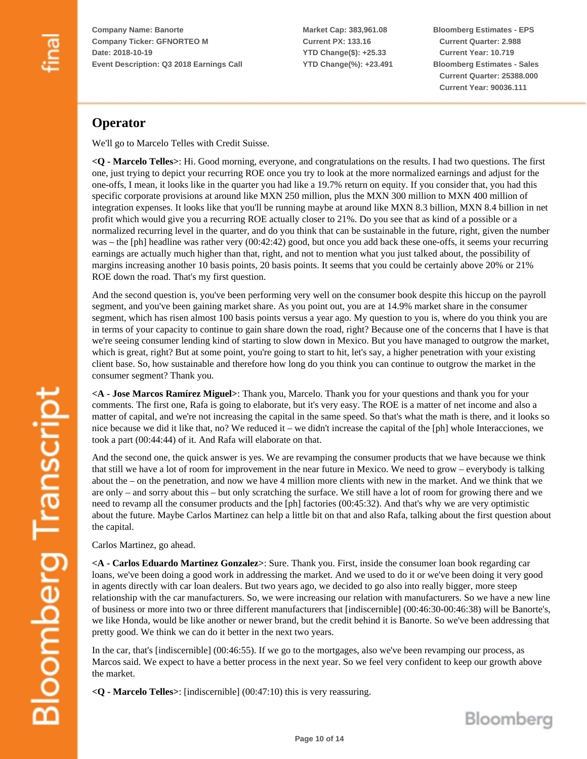**Market Cap: 383,961.08 Current PX: 133.16 YTD Change(\$): +25.33 YTD Change(%): +23.491** **Bloomberg Estimates - EPS Current Quarter: 2.988 Current Year: 10.719 Bloomberg Estimates - Sales Current Quarter: 25388.000 Current Year: 90036.111**

## **Operator**

We'll go to Marcelo Telles with Credit Suisse.

**<Q - Marcelo Telles>**: Hi. Good morning, everyone, and congratulations on the results. I had two questions. The first one, just trying to depict your recurring ROE once you try to look at the more normalized earnings and adjust for the one-offs, I mean, it looks like in the quarter you had like a 19.7% return on equity. If you consider that, you had this specific corporate provisions at around like MXN 250 million, plus the MXN 300 million to MXN 400 million of integration expenses. It looks like that you'll be running maybe at around like MXN 8.3 billion, MXN 8.4 billion in net profit which would give you a recurring ROE actually closer to 21%. Do you see that as kind of a possible or a normalized recurring level in the quarter, and do you think that can be sustainable in the future, right, given the number was – the [ph] headline was rather very (00:42:42) good, but once you add back these one-offs, it seems your recurring earnings are actually much higher than that, right, and not to mention what you just talked about, the possibility of margins increasing another 10 basis points, 20 basis points. It seems that you could be certainly above 20% or 21% ROE down the road. That's my first question.

And the second question is, you've been performing very well on the consumer book despite this hiccup on the payroll segment, and you've been gaining market share. As you point out, you are at 14.9% market share in the consumer segment, which has risen almost 100 basis points versus a year ago. My question to you is, where do you think you are in terms of your capacity to continue to gain share down the road, right? Because one of the concerns that I have is that we're seeing consumer lending kind of starting to slow down in Mexico. But you have managed to outgrow the market, which is great, right? But at some point, you're going to start to hit, let's say, a higher penetration with your existing client base. So, how sustainable and therefore how long do you think you can continue to outgrow the market in the consumer segment? Thank you.

**<A - Jose Marcos Ramírez Miguel>**: Thank you, Marcelo. Thank you for your questions and thank you for your comments. The first one, Rafa is going to elaborate, but it's very easy. The ROE is a matter of net income and also a matter of capital, and we're not increasing the capital in the same speed. So that's what the math is there, and it looks so nice because we did it like that, no? We reduced it – we didn't increase the capital of the [ph] whole Interacciones, we took a part (00:44:44) of it. And Rafa will elaborate on that.

And the second one, the quick answer is yes. We are revamping the consumer products that we have because we think that still we have a lot of room for improvement in the near future in Mexico. We need to grow – everybody is talking about the – on the penetration, and now we have 4 million more clients with new in the market. And we think that we are only – and sorry about this – but only scratching the surface. We still have a lot of room for growing there and we need to revamp all the consumer products and the [ph] factories (00:45:32). And that's why we are very optimistic about the future. Maybe Carlos Martinez can help a little bit on that and also Rafa, talking about the first question about the capital.

Carlos Martinez, go ahead.

**<A - Carlos Eduardo Martinez Gonzalez>**: Sure. Thank you. First, inside the consumer loan book regarding car loans, we've been doing a good work in addressing the market. And we used to do it or we've been doing it very good in agents directly with car loan dealers. But two years ago, we decided to go also into really bigger, more steep relationship with the car manufacturers. So, we were increasing our relation with manufacturers. So we have a new line of business or more into two or three different manufacturers that [indiscernible] (00:46:30-00:46:38) will be Banorte's, we like Honda, would be like another or newer brand, but the credit behind it is Banorte. So we've been addressing that pretty good. We think we can do it better in the next two years.

In the car, that's [indiscernible] (00:46:55). If we go to the mortgages, also we've been revamping our process, as Marcos said. We expect to have a better process in the next year. So we feel very confident to keep our growth above the market.

**<Q - Marcelo Telles>**: [indiscernible] (00:47:10) this is very reassuring.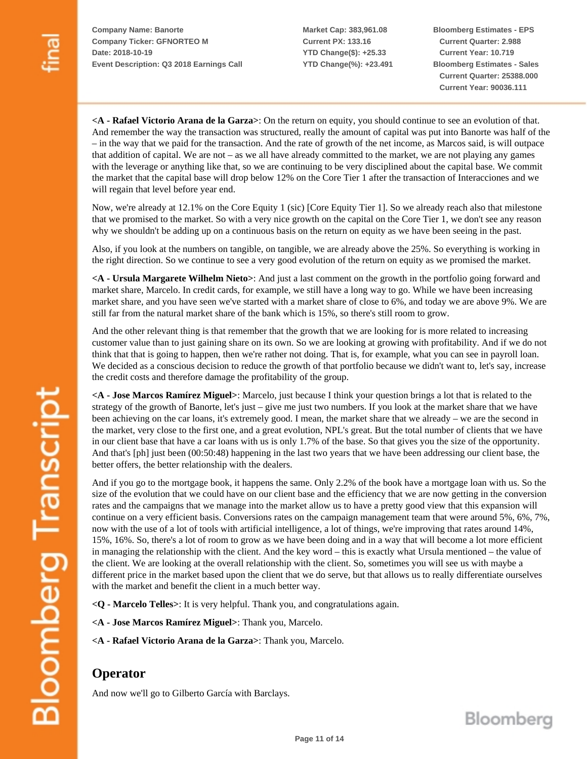**Market Cap: 383,961.08 Current PX: 133.16 YTD Change(\$): +25.33 YTD Change(%): +23.491** **Bloomberg Estimates - EPS Current Quarter: 2.988 Current Year: 10.719 Bloomberg Estimates - Sales Current Quarter: 25388.000 Current Year: 90036.111**

**<A - Rafael Victorio Arana de la Garza>**: On the return on equity, you should continue to see an evolution of that. And remember the way the transaction was structured, really the amount of capital was put into Banorte was half of the – in the way that we paid for the transaction. And the rate of growth of the net income, as Marcos said, is will outpace that addition of capital. We are not – as we all have already committed to the market, we are not playing any games with the leverage or anything like that, so we are continuing to be very disciplined about the capital base. We commit the market that the capital base will drop below 12% on the Core Tier 1 after the transaction of Interacciones and we will regain that level before year end.

Now, we're already at 12.1% on the Core Equity 1 (sic) [Core Equity Tier 1]. So we already reach also that milestone that we promised to the market. So with a very nice growth on the capital on the Core Tier 1, we don't see any reason why we shouldn't be adding up on a continuous basis on the return on equity as we have been seeing in the past.

Also, if you look at the numbers on tangible, on tangible, we are already above the 25%. So everything is working in the right direction. So we continue to see a very good evolution of the return on equity as we promised the market.

**<A - Ursula Margarete Wilhelm Nieto>**: And just a last comment on the growth in the portfolio going forward and market share, Marcelo. In credit cards, for example, we still have a long way to go. While we have been increasing market share, and you have seen we've started with a market share of close to 6%, and today we are above 9%. We are still far from the natural market share of the bank which is 15%, so there's still room to grow.

And the other relevant thing is that remember that the growth that we are looking for is more related to increasing customer value than to just gaining share on its own. So we are looking at growing with profitability. And if we do not think that that is going to happen, then we're rather not doing. That is, for example, what you can see in payroll loan. We decided as a conscious decision to reduce the growth of that portfolio because we didn't want to, let's say, increase the credit costs and therefore damage the profitability of the group.

**<A - Jose Marcos Ramírez Miguel>**: Marcelo, just because I think your question brings a lot that is related to the strategy of the growth of Banorte, let's just – give me just two numbers. If you look at the market share that we have been achieving on the car loans, it's extremely good. I mean, the market share that we already – we are the second in the market, very close to the first one, and a great evolution, NPL's great. But the total number of clients that we have in our client base that have a car loans with us is only 1.7% of the base. So that gives you the size of the opportunity. And that's [ph] just been (00:50:48) happening in the last two years that we have been addressing our client base, the better offers, the better relationship with the dealers.

And if you go to the mortgage book, it happens the same. Only 2.2% of the book have a mortgage loan with us. So the size of the evolution that we could have on our client base and the efficiency that we are now getting in the conversion rates and the campaigns that we manage into the market allow us to have a pretty good view that this expansion will continue on a very efficient basis. Conversions rates on the campaign management team that were around 5%, 6%, 7%, now with the use of a lot of tools with artificial intelligence, a lot of things, we're improving that rates around 14%, 15%, 16%. So, there's a lot of room to grow as we have been doing and in a way that will become a lot more efficient in managing the relationship with the client. And the key word – this is exactly what Ursula mentioned – the value of the client. We are looking at the overall relationship with the client. So, sometimes you will see us with maybe a different price in the market based upon the client that we do serve, but that allows us to really differentiate ourselves with the market and benefit the client in a much better way.

**<Q - Marcelo Telles>**: It is very helpful. Thank you, and congratulations again.

- **<A Jose Marcos Ramírez Miguel>**: Thank you, Marcelo.
- **<A Rafael Victorio Arana de la Garza>**: Thank you, Marcelo.

## **Operator**

And now we'll go to Gilberto García with Barclays.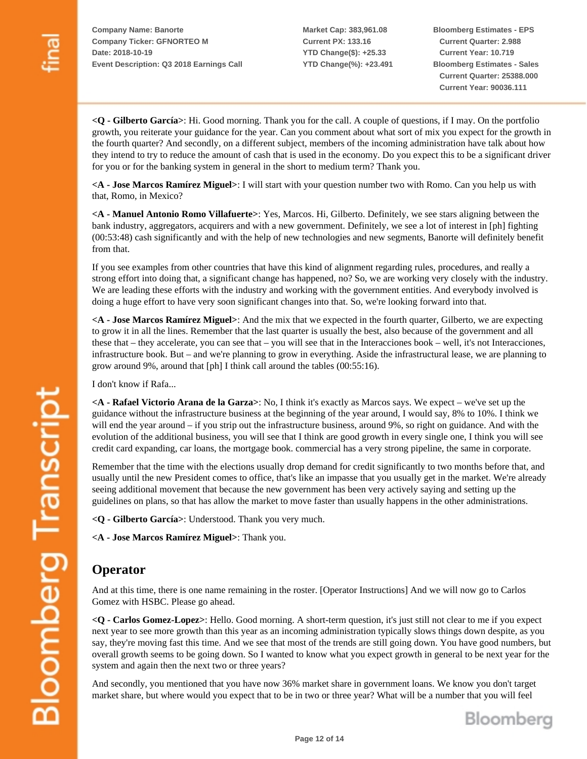**Market Cap: 383,961.08 Current PX: 133.16 YTD Change(\$): +25.33 YTD Change(%): +23.491** **Bloomberg Estimates - EPS Current Quarter: 2.988 Current Year: 10.719 Bloomberg Estimates - Sales Current Quarter: 25388.000 Current Year: 90036.111**

**<Q - Gilberto García>**: Hi. Good morning. Thank you for the call. A couple of questions, if I may. On the portfolio growth, you reiterate your guidance for the year. Can you comment about what sort of mix you expect for the growth in the fourth quarter? And secondly, on a different subject, members of the incoming administration have talk about how they intend to try to reduce the amount of cash that is used in the economy. Do you expect this to be a significant driver for you or for the banking system in general in the short to medium term? Thank you.

**<A - Jose Marcos Ramírez Miguel>**: I will start with your question number two with Romo. Can you help us with that, Romo, in Mexico?

**<A - Manuel Antonio Romo Villafuerte>**: Yes, Marcos. Hi, Gilberto. Definitely, we see stars aligning between the bank industry, aggregators, acquirers and with a new government. Definitely, we see a lot of interest in [ph] fighting (00:53:48) cash significantly and with the help of new technologies and new segments, Banorte will definitely benefit from that.

If you see examples from other countries that have this kind of alignment regarding rules, procedures, and really a strong effort into doing that, a significant change has happened, no? So, we are working very closely with the industry. We are leading these efforts with the industry and working with the government entities. And everybody involved is doing a huge effort to have very soon significant changes into that. So, we're looking forward into that.

**<A - Jose Marcos Ramírez Miguel>**: And the mix that we expected in the fourth quarter, Gilberto, we are expecting to grow it in all the lines. Remember that the last quarter is usually the best, also because of the government and all these that – they accelerate, you can see that – you will see that in the Interacciones book – well, it's not Interacciones, infrastructure book. But – and we're planning to grow in everything. Aside the infrastructural lease, we are planning to grow around 9%, around that [ph] I think call around the tables (00:55:16).

I don't know if Rafa...

**<A - Rafael Victorio Arana de la Garza>**: No, I think it's exactly as Marcos says. We expect – we've set up the guidance without the infrastructure business at the beginning of the year around, I would say, 8% to 10%. I think we will end the year around – if you strip out the infrastructure business, around 9%, so right on guidance. And with the evolution of the additional business, you will see that I think are good growth in every single one, I think you will see credit card expanding, car loans, the mortgage book. commercial has a very strong pipeline, the same in corporate.

Remember that the time with the elections usually drop demand for credit significantly to two months before that, and usually until the new President comes to office, that's like an impasse that you usually get in the market. We're already seeing additional movement that because the new government has been very actively saying and setting up the guidelines on plans, so that has allow the market to move faster than usually happens in the other administrations.

**<Q - Gilberto García>**: Understood. Thank you very much.

**<A - Jose Marcos Ramírez Miguel>**: Thank you.

## **Operator**

And at this time, there is one name remaining in the roster. [Operator Instructions] And we will now go to Carlos Gomez with HSBC. Please go ahead.

**<Q - Carlos Gomez-Lopez>**: Hello. Good morning. A short-term question, it's just still not clear to me if you expect next year to see more growth than this year as an incoming administration typically slows things down despite, as you say, they're moving fast this time. And we see that most of the trends are still going down. You have good numbers, but overall growth seems to be going down. So I wanted to know what you expect growth in general to be next year for the system and again then the next two or three years?

And secondly, you mentioned that you have now 36% market share in government loans. We know you don't target market share, but where would you expect that to be in two or three year? What will be a number that you will feel

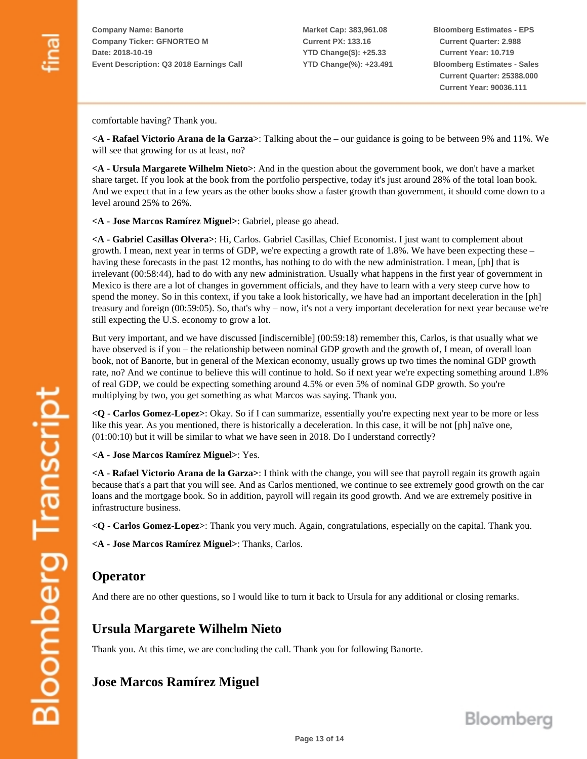**Market Cap: 383,961.08 Current PX: 133.16 YTD Change(\$): +25.33 YTD Change(%): +23.491** **Bloomberg Estimates - EPS Current Quarter: 2.988 Current Year: 10.719 Bloomberg Estimates - Sales Current Quarter: 25388.000 Current Year: 90036.111**

comfortable having? Thank you.

**<A - Rafael Victorio Arana de la Garza>**: Talking about the – our guidance is going to be between 9% and 11%. We will see that growing for us at least, no?

**<A - Ursula Margarete Wilhelm Nieto>**: And in the question about the government book, we don't have a market share target. If you look at the book from the portfolio perspective, today it's just around 28% of the total loan book. And we expect that in a few years as the other books show a faster growth than government, it should come down to a level around 25% to 26%.

**<A - Jose Marcos Ramírez Miguel>**: Gabriel, please go ahead.

**<A - Gabriel Casillas Olvera>**: Hi, Carlos. Gabriel Casillas, Chief Economist. I just want to complement about growth. I mean, next year in terms of GDP, we're expecting a growth rate of 1.8%. We have been expecting these – having these forecasts in the past 12 months, has nothing to do with the new administration. I mean, [ph] that is irrelevant (00:58:44), had to do with any new administration. Usually what happens in the first year of government in Mexico is there are a lot of changes in government officials, and they have to learn with a very steep curve how to spend the money. So in this context, if you take a look historically, we have had an important deceleration in the [ph] treasury and foreign (00:59:05). So, that's why – now, it's not a very important deceleration for next year because we're still expecting the U.S. economy to grow a lot.

But very important, and we have discussed [indiscernible] (00:59:18) remember this, Carlos, is that usually what we have observed is if you – the relationship between nominal GDP growth and the growth of, I mean, of overall loan book, not of Banorte, but in general of the Mexican economy, usually grows up two times the nominal GDP growth rate, no? And we continue to believe this will continue to hold. So if next year we're expecting something around 1.8% of real GDP, we could be expecting something around 4.5% or even 5% of nominal GDP growth. So you're multiplying by two, you get something as what Marcos was saying. Thank you.

**<Q - Carlos Gomez-Lopez>**: Okay. So if I can summarize, essentially you're expecting next year to be more or less like this year. As you mentioned, there is historically a deceleration. In this case, it will be not [ph] naïve one, (01:00:10) but it will be similar to what we have seen in 2018. Do I understand correctly?

**<A - Jose Marcos Ramírez Miguel>**: Yes.

**<A - Rafael Victorio Arana de la Garza>**: I think with the change, you will see that payroll regain its growth again because that's a part that you will see. And as Carlos mentioned, we continue to see extremely good growth on the car loans and the mortgage book. So in addition, payroll will regain its good growth. And we are extremely positive in infrastructure business.

**<Q - Carlos Gomez-Lopez>**: Thank you very much. Again, congratulations, especially on the capital. Thank you.

**<A - Jose Marcos Ramírez Miguel>**: Thanks, Carlos.

### **Operator**

And there are no other questions, so I would like to turn it back to Ursula for any additional or closing remarks.

## **Ursula Margarete Wilhelm Nieto**

Thank you. At this time, we are concluding the call. Thank you for following Banorte.

## **Jose Marcos Ramírez Miguel**